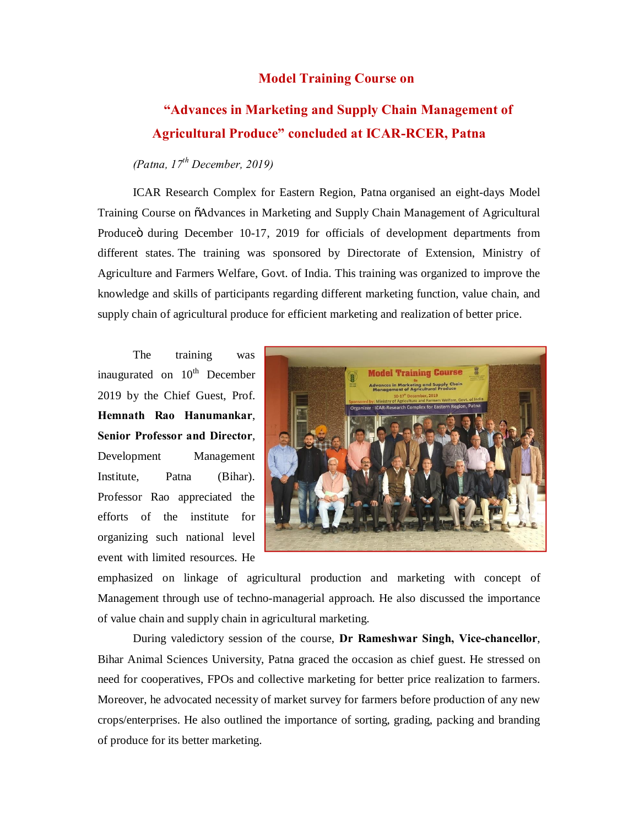## **Model Training Course on**

## **"Advances in Marketing and Supply Chain Management of Agricultural Produce" concluded at ICAR-RCER, Patna**

## *(Patna, 17th December, 2019)*

ICAR Research Complex for Eastern Region, Patna organised an eight-days Model Training Course on "Advances in Marketing and Supply Chain Management of Agricultural Produceö during December 10-17, 2019 for officials of development departments from different states. The training was sponsored by Directorate of Extension, Ministry of Agriculture and Farmers Welfare, Govt. of India. This training was organized to improve the knowledge and skills of participants regarding different marketing function, value chain, and supply chain of agricultural produce for efficient marketing and realization of better price.

The training was inaugurated on  $10^{th}$  December 2019 by the Chief Guest, Prof. **Hemnath Rao Hanumankar**, **Senior Professor and Director**, Development Management Institute, Patna (Bihar). Professor Rao appreciated the efforts of the institute for organizing such national level event with limited resources. He



emphasized on linkage of agricultural production and marketing with concept of Management through use of techno-managerial approach. He also discussed the importance of value chain and supply chain in agricultural marketing.

During valedictory session of the course, **Dr Rameshwar Singh, Vice-chancellor**, Bihar Animal Sciences University, Patna graced the occasion as chief guest. He stressed on need for cooperatives, FPOs and collective marketing for better price realization to farmers. Moreover, he advocated necessity of market survey for farmers before production of any new crops/enterprises. He also outlined the importance of sorting, grading, packing and branding of produce for its better marketing.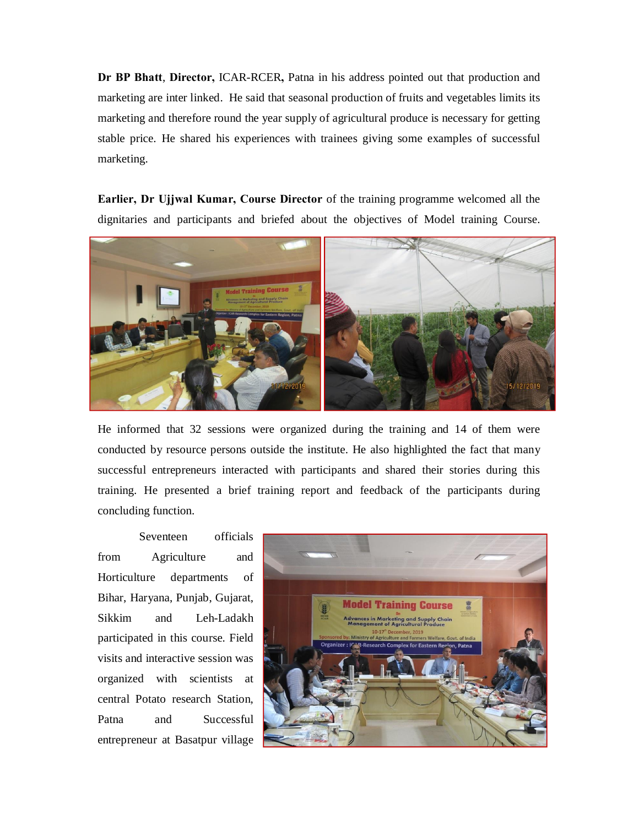**Dr BP Bhatt**, **Director,** ICAR-RCER**,** Patna in his address pointed out that production and marketing are inter linked. He said that seasonal production of fruits and vegetables limits its marketing and therefore round the year supply of agricultural produce is necessary for getting stable price. He shared his experiences with trainees giving some examples of successful marketing.

**Earlier, Dr Ujjwal Kumar, Course Director** of the training programme welcomed all the dignitaries and participants and briefed about the objectives of Model training Course.



He informed that 32 sessions were organized during the training and 14 of them were conducted by resource persons outside the institute. He also highlighted the fact that many successful entrepreneurs interacted with participants and shared their stories during this training. He presented a brief training report and feedback of the participants during concluding function.

Seventeen officials from Agriculture and Horticulture departments of Bihar, Haryana, Punjab, Gujarat, Sikkim and Leh-Ladakh participated in this course. Field visits and interactive session was organized with scientists at central Potato research Station, Patna and Successful entrepreneur at Basatpur village